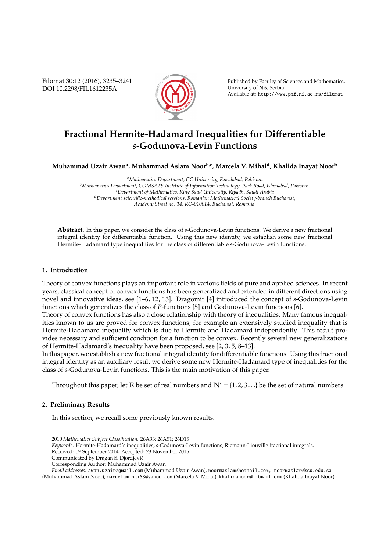Filomat 30:12 (2016), 3235–3241 DOI 10.2298/FIL1612235A



Published by Faculty of Sciences and Mathematics, University of Niš, Serbia Available at: http://www.pmf.ni.ac.rs/filomat

# **Fractional Hermite-Hadamard Inequalities for Di**ff**erentiable** *s***-Godunova-Levin Functions**

**Muhammad Uzair Awan<sup>a</sup> , Muhammad Aslam Noorb,c, Marcela V. Mihai<sup>d</sup> , Khalida Inayat Noor<sup>b</sup>**

*<sup>a</sup>Mathematics Department, GC University, Faisalabad, Pakistan <sup>b</sup>Mathematics Department, COMSATS Institute of Information Technology, Park Road, Islamabad, Pakistan. <sup>c</sup>Department of Mathematics, King Saud University, Riyadh, Saudi Arabia <sup>d</sup>Department scientific-methodical sessions, Romanian Mathematical Society-branch Bucharest, Academy Street no. 14, RO-010014, Bucharest, Romania.*

**Abstract.** In this paper, we consider the class of *s*-Godunova-Levin functions. We derive a new fractional integral identity for differentiable function. Using this new identity, we establish some new fractional Hermite-Hadamard type inequalities for the class of differentiable *s*-Godunova-Levin functions.

## **1. Introduction**

Theory of convex functions plays an important role in various fields of pure and applied sciences. In recent years, classical concept of convex functions has been generalized and extended in different directions using novel and innovative ideas, see [1–6, 12, 13]. Dragomir [4] introduced the concept of *s*-Godunova-Levin functions which generalizes the class of *P*-functions [5] and Godunova-Levin functions [6].

Theory of convex functions has also a close relationship with theory of inequalities. Many famous inequalities known to us are proved for convex functions, for example an extensively studied inequality that is Hermite-Hadamard inequality which is due to Hermite and Hadamard independently. This result provides necessary and sufficient condition for a function to be convex. Recently several new generalizations of Hermite-Hadamard's inequality have been proposed, see [2, 3, 5, 8–13].

In this paper, we establish a new fractional integral identity for differentiable functions. Using this fractional integral identity as an auxiliary result we derive some new Hermite-Hadamard type of inequalities for the class of *s*-Godunova-Levin functions. This is the main motivation of this paper.

Throughout this paper, let R be set of real numbers and  $\mathbb{N}^* = \{1, 2, 3, \ldots\}$  be the set of natural numbers.

#### **2. Preliminary Results**

In this section, we recall some previously known results.

Received: 09 September 2014; Accepted: 23 November 2015

<sup>2010</sup> *Mathematics Subject Classification*. 26A33; 26A51; 26D15

*Keywords*. Hermite-Hadamard's inequalities, *s*-Godunova-Levin functions, Riemann-Liouville fractional integrals.

Communicated by Dragan S. Djordjevic´

Corresponding Author: Muhammad Uzair Awan

*Email addresses:* awan.uzair@gmail.com (Muhammad Uzair Awan), noormaslam@hotmail.com, noormaslam@ksu.edu.sa (Muhammad Aslam Noor), marcelamihai58@yahoo.com (Marcela V. Mihai), khalidanoor@hotmail.com (Khalida Inayat Noor)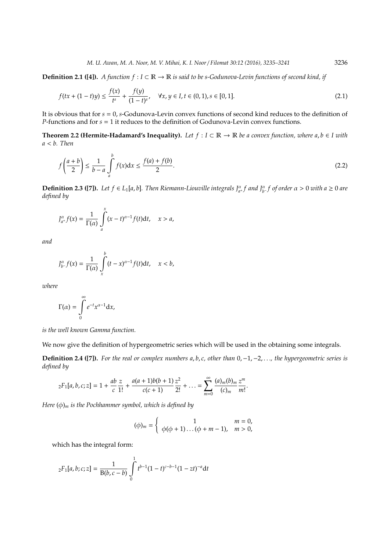**Definition 2.1 ([4]).** *A function f* : *I* ⊂ R → R *is said to be s-Godunova-Levin functions of second kind, if*

$$
f(tx + (1-t)y) \le \frac{f(x)}{t^s} + \frac{f(y)}{(1-t)^s}, \quad \forall x, y \in I, t \in (0,1), s \in [0,1].
$$
 (2.1)

It is obvious that for *s* = 0, *s*-Godunova-Levin convex functions of second kind reduces to the definition of *P*-functions and for *s* = 1 it reduces to the definition of Godunova-Levin convex functions.

**Theorem 2.2 (Hermite-Hadamard's Inequality).** *Let*  $f$  :  $I$  ⊂  $\mathbb{R}$  →  $\mathbb{R}$  *be a convex function, where a, b* ∈ *I with a* < *b. Then*

$$
f\left(\frac{a+b}{2}\right) \le \frac{1}{b-a} \int_{a}^{b} f(x) \, dx \le \frac{f(a)+f(b)}{2}.\tag{2.2}
$$

**Definition 2.3 ([7]).** Let  $f \in L_1[a, b]$ . Then Riemann-Liouville integrals  $J^{\alpha}_{a^+}f$  and  $J^{\alpha}_{b^-}f$  of order  $\alpha > 0$  with  $a \ge 0$  are *defined by*

$$
J_{a^+}^{\alpha}f(x) = \frac{1}{\Gamma(\alpha)} \int_a^x (x-t)^{\alpha-1} f(t) dt, \quad x > a,
$$

*and*

$$
J_{b^-}^{\alpha}f(x)=\frac{1}{\Gamma(\alpha)}\int\limits_x^b(t-x)^{\alpha-1}f(t)\mathrm{d}t,\quad x
$$

*where*

$$
\Gamma(\alpha) = \int\limits_0^\infty e^{-t} x^{\alpha-1} \mathrm{d}x,
$$

*is the well known Gamma function.*

We now give the definition of hypergeometric series which will be used in the obtaining some integrals.

**Definition 2.4 ([7]).** *For the real or complex numbers a*, *b*, *c, other than* 0,−1,−2, . . .*, the hypergeometric series is defined by*

$$
{}_{2}F_{1}[a,b,c;z]=1+\frac{ab}{c}\frac{z}{1!}+\frac{a(a+1)b(b+1)}{c(c+1)}\frac{z^{2}}{2!}+\ldots=\sum_{m=0}^{\infty}\frac{(a)_{m}(b)_{m}}{(c)_{m}}\frac{z^{m}}{m!}.
$$

*Here* (φ)*<sup>m</sup> is the Pochhammer symbol, which is defined by*

$$
(\phi)_m = \begin{cases} 1 & m = 0, \\ \phi(\phi + 1) \dots (\phi + m - 1), & m > 0, \end{cases}
$$

which has the integral form:

$$
{}_2F_1[a,b;c;z] = \frac{1}{B(b,c-b)} \int\limits_0^1 t^{b-1} (1-t)^{c-b-1} (1-zt)^{-a} dt
$$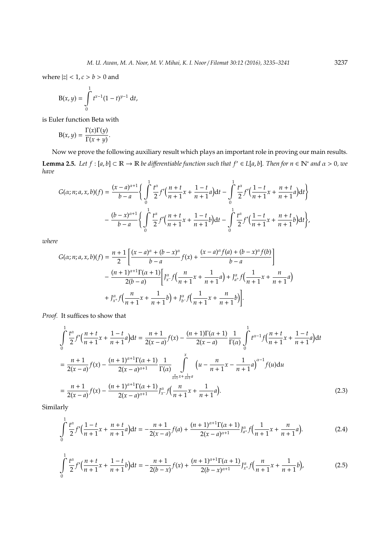where  $|z| < 1, c > b > 0$  and

$$
B(x, y) = \int_{0}^{1} t^{x-1} (1-t)^{y-1} dt,
$$

is Euler function Beta with

$$
B(x, y) = \frac{\Gamma(x)\Gamma(y)}{\Gamma(x+y)}.
$$

Now we prove the following auxiliary result which plays an important role in proving our main results. **Lemma 2.5.** *Let*  $f : [a, b] \subset \mathbb{R} \to \mathbb{R}$  *be differentiable function such that*  $f' \in L[a, b]$ *. Then for*  $n \in \mathbb{N}^*$  *and*  $\alpha > 0$ *, we have*

$$
G(\alpha; n; a, x, b)(f) = \frac{(x-a)^{\alpha+1}}{b-a} \left\{ \int_0^1 \frac{t^{\alpha}}{2} f'(\frac{n+t}{n+1}x + \frac{1-t}{n+1}a) dt - \int_0^1 \frac{t^{\alpha}}{2} f'(\frac{1-t}{n+1}x + \frac{n+t}{n+1}a) dt \right\}
$$

$$
-\frac{(b-x)^{\alpha+1}}{b-a} \left\{ \int_0^1 \frac{t^{\alpha}}{2} f'(\frac{n+t}{n+1}x + \frac{1-t}{n+1}b) dt - \int_0^1 \frac{t^{\alpha}}{2} f'(\frac{1-t}{n+1}x + \frac{n+t}{n+1}b) dt \right\},\,
$$

*where*

$$
G(\alpha; n; a, x, b)(f) = \frac{n+1}{2} \left[ \frac{(x-a)^{\alpha} + (b-x)^{\alpha}}{b-a} f(x) + \frac{(x-a)^{\alpha} f(a) + (b-x)^{\alpha} f(b)}{b-a} \right]
$$
  
 
$$
- \frac{(n+1)^{\alpha+1} \Gamma(\alpha+1)}{2(b-a)} \left[ J_{x}^{\alpha} f\left(\frac{n}{n+1}x + \frac{1}{n+1}a\right) + J_{a^+}^{\alpha} f\left(\frac{1}{n+1}x + \frac{n}{n+1}a\right) \right]
$$
  
 
$$
+ J_{x^+}^{\alpha} f\left(\frac{n}{n+1}x + \frac{1}{n+1}b\right) + J_{b^-}^{\alpha} f\left(\frac{1}{n+1}x + \frac{n}{n+1}b\right) \right].
$$

*Proof.* It suffices to show that

$$
\int_{0}^{1} \frac{t^{\alpha}}{2} f'(\frac{n+t}{n+1}x + \frac{1-t}{n+1}a)dt = \frac{n+1}{2(x-a)} f(x) - \frac{(n+1)\Gamma(\alpha+1)}{2(x-a)} \frac{1}{\Gamma(\alpha)} \int_{0}^{1} t^{\alpha-1} f(\frac{n+t}{n+1}x + \frac{1-t}{n+1}a)dt
$$
  
\n
$$
= \frac{n+1}{2(x-a)} f(x) - \frac{(n+1)^{\alpha+1}\Gamma(\alpha+1)}{2(x-a)^{\alpha+1}} \frac{1}{\Gamma(\alpha)} \int_{\frac{n}{n+1}x + \frac{1}{n+1}a}^{x} (u - \frac{n}{n+1}x - \frac{1}{n+1}a)^{\alpha-1} f(u)du
$$
  
\n
$$
= \frac{n+1}{2(x-a)} f(x) - \frac{(n+1)^{\alpha+1}\Gamma(\alpha+1)}{2(x-a)^{\alpha+1}} J_{x}^{\alpha} f(\frac{n}{n+1}x + \frac{1}{n+1}a).
$$
 (2.3)

Similarly

 $\overline{1}$ 

$$
\int_{0}^{1} \frac{t^{\alpha}}{2} f' \Big( \frac{1-t}{n+1} x + \frac{n+t}{n+1} a \Big) dt = -\frac{n+1}{2(x-a)} f(a) + \frac{(n+1)^{\alpha+1} \Gamma(\alpha+1)}{2(x-a)^{\alpha+1}} J_{a^+}^{\alpha} f\Big( \frac{1}{n+1} x + \frac{n}{n+1} a \Big). \tag{2.4}
$$

$$
\int_{0}^{1} \frac{t^{\alpha}}{2} f'(\frac{n+t}{n+1}x + \frac{1-t}{n+1}b)dt = -\frac{n+1}{2(b-x)}f(x) + \frac{(n+1)^{\alpha+1}\Gamma(\alpha+1)}{2(b-x)^{\alpha+1}}J_{x^{+}}^{\alpha}f(\frac{n}{n+1}x + \frac{1}{n+1}b),
$$
\n(2.5)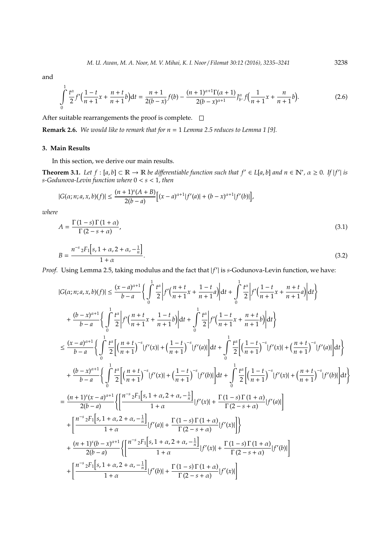and

$$
\int_{0}^{1} \frac{t^{\alpha}}{2} f'(\frac{1-t}{n+1}x + \frac{n+t}{n+1}b)dt = \frac{n+1}{2(b-x)}f(b) - \frac{(n+1)^{\alpha+1}\Gamma(\alpha+1)}{2(b-x)^{\alpha+1}}J_{b^-}^{\alpha}f(\frac{1}{n+1}x + \frac{n}{n+1}b).
$$
(2.6)

After suitable rearrangements the proof is complete.  $\square$ 

**Remark 2.6.** *We would like to remark that for n* = 1 *Lemma 2.5 reduces to Lemma 1 [9].*

### **3. Main Results**

In this section, we derive our main results.

**Theorem 3.1.** Let  $f : [a, b] \subset \mathbb{R} \to \mathbb{R}$  be differentiable function such that  $f' \in L[a, b]$  and  $n \in \mathbb{N}^*$ ,  $\alpha \geq 0$ . If  $|f'|$  is *s-Godunova-Levin function where* 0 < *s* < 1*, then*

$$
|G(\alpha; n; a, x, b)(f)| \le \frac{(n+1)^s(A+B)}{2(b-a)} \Big[ (x-a)^{\alpha+1} |f'(a)| + (b-x)^{\alpha+1} |f'(b)| \Big],
$$

*where*

$$
A = \frac{\Gamma(1-s)\Gamma(1+\alpha)}{\Gamma(2-s+\alpha)},
$$
\n(3.1)

$$
B = \frac{n^{-s} {}_{2}F_{1}[s, 1 + \alpha, 2 + \alpha, -\frac{1}{n}]}{1 + \alpha}.
$$
\n(3.2)

Proof. Using Lemma 2.5, taking modulus and the fact that  $|f'|$  is s-Godunova-Levin function, we have:

$$
|G(\alpha; n; a, x, b)(f)| \leq \frac{(x-a)^{\alpha+1}}{b-a} \Big\{ \int_{0}^{1} \frac{t^{\alpha}}{2} \Big| f'(\frac{n+t}{n+1}x + \frac{1-t}{n+1}a) \Big| dt + \int_{0}^{1} \frac{t^{\alpha}}{2} \Big| f'(\frac{1-t}{n+1}x + \frac{n+t}{n+1}a) \Big| dt \Big\}+ \frac{(b-x)^{\alpha+1}}{b-a} \Big\{ \int_{0}^{1} \frac{t^{\alpha}}{2} \Big| f'(\frac{n+t}{n+1}x + \frac{1-t}{n+1}b) \Big| dt + \int_{0}^{1} \frac{t^{\alpha}}{2} \Big| f'(\frac{1-t}{n+1}x + \frac{n+t}{n+1}b) \Big| dt \Big\}
$$
\leq \frac{(x-a)^{\alpha+1}}{b-a} \Big\{ \int_{0}^{1} \frac{t^{\alpha}}{2} \Big[ \Big(\frac{n+t}{n+1}\Big)^{-s} |f'(x)| + \Big(\frac{1-t}{n+1}\Big)^{-s} |f'(a)| \Big| dt + \int_{0}^{1} \frac{t^{\alpha}}{2} \Big[ \Big(\frac{1-t}{n+1}\Big)^{-s} |f'(x)| + \Big(\frac{n+t}{n+1}\Big)^{-s} |f'(a)| \Big| dt \Big\}+ \frac{(b-x)^{\alpha+1}}{b-a} \Big\{ \int_{0}^{1} \frac{t^{\alpha}}{2} \Big[ \Big(\frac{n+t}{n+1}\Big)^{-s} |f'(x)| + \Big(\frac{1-t}{n+1}\Big)^{-s} |f'(b)| \Big| dt + \int_{0}^{1} \frac{t^{\alpha}}{2} \Big[ \Big(\frac{1-t}{n+1}\Big)^{-s} |f'(x)| + \Big(\frac{n+t}{n+1}\Big)^{-s} |f'(b)| \Big| dt \Big\}= \frac{(n+1)^{s}(x-a)^{\alpha+1}}{2(b-a)} \Big\{ \Big[ \frac{n^{-s}2F_{1}[s, 1 + \alpha, 2 + \alpha, -\frac{1}{n}]}{1+\alpha} |f'(x)| + \frac{\Gamma(1-s)\Gamma(1+\alpha)}{\Gamma(2-s+\alpha)} |f'(a)| \Big] + \Big\{ \frac{n^{-s}2F_{1}[s, 1 + \alpha, 2 + \alpha, -\frac{1}{n}]}
$$
$$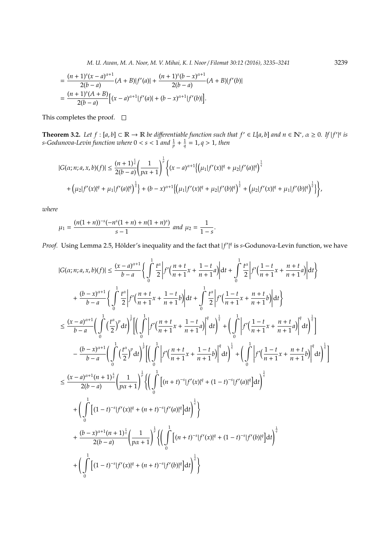*M. U. Awan, M. A. Noor, M. V. Mihai, K. I. Noor* / *Filomat 30:12 (2016), 3235–3241* 3239

$$
= \frac{(n+1)^{s}(x-a)^{\alpha+1}}{2(b-a)}(A+B)|f'(a)| + \frac{(n+1)^{s}(b-x)^{\alpha+1}}{2(b-a)}(A+B)|f'(b)|
$$
  
= 
$$
\frac{(n+1)^{s}(A+B)}{2(b-a)}[(x-a)^{\alpha+1}|f'(a)| + (b-x)^{\alpha+1}|f'(b)|].
$$

This completes the proof.  $\square$ 

**Theorem 3.2.** Let  $f:[a,b]\subset\mathbb{R}\to\mathbb{R}$  be differentiable function such that  $f'\in L[a,b]$  and  $n\in\mathbb{N}^*$ ,  $\alpha\geq 0$ . If  $|f'|^q$  is *s-Godunova-Levin function where*  $0 < s < 1$  and  $\frac{1}{p} + \frac{1}{q} = 1$ ,  $q > 1$ , then

$$
|G(\alpha; n; a, x, b)(f)| \leq \frac{(n+1)^{\frac{s}{q}}}{2(b-a)} \left(\frac{1}{p\alpha+1}\right)^{\frac{1}{p}} \left\{ (x-a)^{\alpha+1} \left\{ \left(\mu_1 | f'(x)|^q + \mu_2 | f'(a)|^q \right)^{\frac{1}{q}} \right\} + (\mu_2 | f'(x)|^q + \mu_1 | f'(a)|^q \right\}^{\frac{1}{q}} + (b-x)^{\alpha+1} \left\{ \left(\mu_1 | f'(x)|^q + \mu_2 | f'(b)|^q \right)^{\frac{1}{q}} + \left(\mu_2 | f'(x)|^q + \mu_1 | f'(b)|^q \right)^{\frac{1}{q}} \right\},
$$

*where*

$$
\mu_1 = \frac{(n(1+n))^{-s}(-n^s(1+n) + n(1+n)^s)}{s-1}
$$
 and  $\mu_2 = \frac{1}{1-s}$ .

*Proof.* Using Lemma 2.5, Hölder's inequality and the fact that  $|f'|^q$  is *s*-Godunova-Levin function, we have

<sup>|</sup>*G*(α; *<sup>n</sup>*; *<sup>a</sup>*, *<sup>x</sup>*, *<sup>b</sup>*)(*f*)| ≤ (*<sup>x</sup>* <sup>−</sup> *<sup>a</sup>*) α+1 *b* − *a* (Z 1 0 *t* α 2 *f* 0 *n* + *t n* + 1 *x* + 1 − *t n* + 1 *a* d*t* + Z 1 0 *t* α 2 *f* 0 <sup>1</sup> <sup>−</sup> *<sup>t</sup> n* + 1 *x* + *n* + *t n* + 1 *a* d*t* ) + (*b* − *x*) α+1 *b* − *a* (Z 1 0 *t* α 2 *f* 0 *n* + *t n* + 1 *x* + 1 − *t n* + 1 *b* d*t* + Z 1 0 *t* α 2 *f* 0 <sup>1</sup> <sup>−</sup> *<sup>t</sup> n* + 1 *x* + *n* + *t n* + 1 *b* d*t* ) ≤ (*x* − *a*) α+1 *b* − *a* Z 1 0 *t* α 2 *p* d*t* ! 1 *p* " Z 1 0 *f* 0 *n* + *t n* + 1 *x* + 1 − *t n* + 1 *a q* d*t* ! 1 *q* + Z 1 0 *f* 0 <sup>1</sup> <sup>−</sup> *<sup>t</sup> n* + 1 *x* + *n* + *t n* + 1 *a q* d*t* ! 1 *q* # − (*b* − *x*) α+1 *b* − *a* Z 1 0 *t* α 2 *p* d*t* ! 1 *p* " Z 1 0 *f* 0 *n* + *t n* + 1 *x* + 1 − *t n* + 1 *b q* d*t* ! 1 *q* + Z 1 0 *f* 0 <sup>1</sup> <sup>−</sup> *<sup>t</sup> n* + 1 *x* + *n* + *t n* + 1 *b q* d*t* ! 1 *q* # ≤ (*x* − *a*) α+1 (*n* + 1) *s q* 2(*b* − *a*) 1 *p*α + 1 ! 1 *p* ( Z 1 0 h (*n* + *t*) −*s* | *f* 0 (*x*)| *<sup>q</sup>* + (1 − *t*) −*s* | *f* 0 (*a*)| *q* i d*t* ! 1 *q* + Z 1 0 h (1 − *t*) −*s* | *f* 0 (*x*)| *<sup>q</sup>* + (*n* + *t*) −*s* | *f* 0 (*a*)| *q* i d*t* ! 1 *q* ) + (*b* − *x*) α+1 (*n* + 1) *s q* 2(*b* − *a*) 1 *p*α + 1 ! 1 *p* ( Z 1 0 h (*n* + *t*) −*s* | *f* 0 (*x*)| *<sup>q</sup>* + (1 − *t*) −*s* | *f* 0 (*b*)| *q* i d*t* ! 1 *q* + Z 1 0 h (1 − *t*) −*s* | *f* 0 (*x*)| *<sup>q</sup>* + (*n* + *t*) −*s* | *f* 0 (*b*)| *q* i d*t* ! 1 *q* )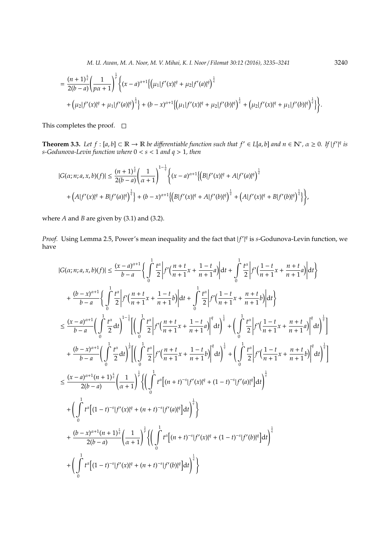*M. U. Awan, M. A. Noor, M. V. Mihai, K. I. Noor* / *Filomat 30:12 (2016), 3235–3241* 3240

$$
= \frac{(n+1)^{\frac{s}{q}}}{2(b-a)}\left(\frac{1}{p\alpha+1}\right)^{\frac{1}{p}}\left\{(x-a)^{\alpha+1}\left\{\left(\mu_1|f'(x)|^q + \mu_2|f'(a)|^q\right)^{\frac{1}{q}}\right\}+\left(\mu_2|f'(x)|^q + \mu_1|f'(a)|^q\right)^{\frac{1}{q}}\right\} + (b-x)^{\alpha+1}\left\{\left(\mu_1|f'(x)|^q + \mu_2|f'(b)|^q\right)^{\frac{1}{q}} + \left(\mu_2|f'(x)|^q + \mu_1|f'(b)|^q\right)^{\frac{1}{q}}\right\}.
$$

This completes the proof.  $\square$ 

**Theorem 3.3.** Let  $f:[a,b]\subset\mathbb{R}\to\mathbb{R}$  be differentiable function such that  $f'\in L[a,b]$  and  $n\in\mathbb{N}^*$ ,  $\alpha\geq 0$ . If  $|f'|^q$  is *s-Godunova-Levin function where* 0 < *s* < 1 *and q* > 1*, then*

$$
|G(\alpha; n; a, x, b)(f)| \leq \frac{(n+1)^{\frac{s}{q}}}{2(b-a)} \left(\frac{1}{\alpha+1}\right)^{1-\frac{1}{q}} \left\{(x-a)^{\alpha+1}\left\{\left(B|f'(x)|^q + A|f'(a)|^q\right)^{\frac{1}{q}} + A|f'(a)|^q\right\}^{\frac{1}{q}} + \left(A|f'(x)|^q + B|f'(a)|^q\right)^{\frac{1}{q}}\right\} + (b-x)^{\alpha+1}\left\{\left(B|f'(x)|^q + A|f'(b)|^q\right)^{\frac{1}{q}} + \left(A|f'(x)|^q + B|f'(b)|^q\right)^{\frac{1}{q}}\right\},\,
$$

where *A* and *B* are given by (3.1) and (3.2).

*Proof.* Using Lemma 2.5, Power's mean inequality and the fact that  $|f'|^q$  is *s*-Godunova-Levin function, we have

$$
|G(\alpha; n; a, x, b)(f)| \leq \frac{(x-a)^{\alpha+1}}{b-a} \Biggl\{ \int_{0}^{1} \frac{t^{\alpha}}{2} \Biggl| f'\Bigl(\frac{n+t}{n+1}x + \frac{1-t}{n+1}a \Bigr) \Biggr| dt + \int_{0}^{1} \frac{t^{\alpha}}{2} \Biggl| f'\Bigl(\frac{1-t}{n+1}x + \frac{n+t}{n+1}a \Bigr) \Biggr| dt \Biggr\}
$$
  
+ 
$$
\frac{(b-x)^{\alpha+1}}{b-a} \Biggl\{ \int_{0}^{1} \frac{t^{\alpha}}{2} \Biggl| f'\Bigl(\frac{n+t}{n+1}x + \frac{1-t}{n+1}b \Bigr) \Biggr| dt + \int_{0}^{1} \frac{t^{\alpha}}{2} \Biggl| f'\Bigl(\frac{1-t}{n+1}x + \frac{n+t}{n+1}b \Bigr) \Biggr| dt \Biggr\}
$$
  

$$
\leq \frac{(x-a)^{\alpha+1}}{b-a} \Biggl( \int_{0}^{1} \frac{t^{\alpha}}{2} dt \Biggr)^{1-\frac{1}{q}} \Biggl[ \Bigl( \int_{0}^{1} \frac{t^{\alpha}}{2} \Biggl| f'\Bigl(\frac{n+t}{n+1}x + \frac{1-t}{n+1}a \Bigr) \Biggr|^{q} dt \Biggr)^{\frac{1}{q}} + \Biggl( \int_{0}^{1} \frac{t^{\alpha}}{2} \Biggl| f'\Bigl(\frac{1-t}{n+1}x + \frac{n+t}{n+1}a \Bigr) \Biggr|^{q} dt \Biggr)^{\frac{1}{q}}
$$
  
+ 
$$
\frac{(b-x)^{\alpha+1}}{b-a} \Biggl( \int_{0}^{1} \frac{t^{\alpha}}{2} dt \Biggr)^{\frac{1}{r}} \Biggl[ \Biggl( \int_{0}^{1} \frac{t^{\alpha}}{2} \Biggl| f'\Bigl(\frac{n+t}{n+1}x + \frac{1-t}{n+1}b \Bigr) \Biggr|^{q} dt \Biggr)^{\frac{1}{q}} + \Biggl( \int_{0}^{1} \frac{t^{\alpha}}{2} \Biggl| f'\Bigl(\frac{1-t}{n+1}x + \frac{n+t}{n+1}b \Bigr) \Biggr|^{q} dt \Biggr)^{\frac{1}{q}}
$$
  

$$
\leq \
$$